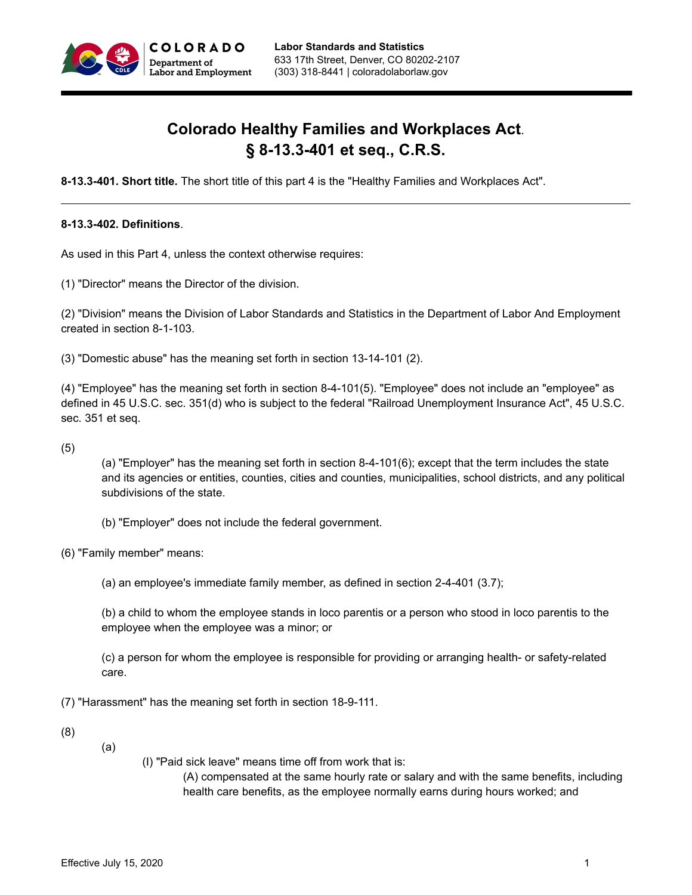

# **Colorado Healthy Families and Workplaces Act**. **§ 8-13.3-401 et seq., C.R.S.**

**8-13.3-401. Short title.** The short title of this part 4 is the "Healthy Families and Workplaces Act".

#### **8-13.3-402. Definitions**.

As used in this Part 4, unless the context otherwise requires:

(1) "Director" means the Director of the division.

(2) "Division" means the Division of Labor Standards and Statistics in the Department of Labor And Employment created in section 8-1-103.

(3) "Domestic abuse" has the meaning set forth in section 13-14-101 (2).

(4) "Employee" has the meaning set forth in section 8-4-101(5). "Employee" does not include an "employee" as defined in 45 U.S.C. sec. 351(d) who is subject to the federal "Railroad Unemployment Insurance Act", 45 U.S.C. sec. 351 et seq.

(5)

(a) "Employer" has the meaning set forth in section 8-4-101(6); except that the term includes the state and its agencies or entities, counties, cities and counties, municipalities, school districts, and any political subdivisions of the state.

(b) "Employer" does not include the federal government.

(6) "Family member" means:

(a) an employee's immediate family member, as defined in section 2-4-401 (3.7);

(b) a child to whom the employee stands in loco parentis or a person who stood in loco parentis to the employee when the employee was a minor; or

(c) a person for whom the employee is responsible for providing or arranging health- or safety-related care.

(7) "Harassment" has the meaning set forth in section 18-9-111.

(8)

(a)

(I) "Paid sick leave" means time off from work that is:

(A) compensated at the same hourly rate or salary and with the same benefits, including health care benefits, as the employee normally earns during hours worked; and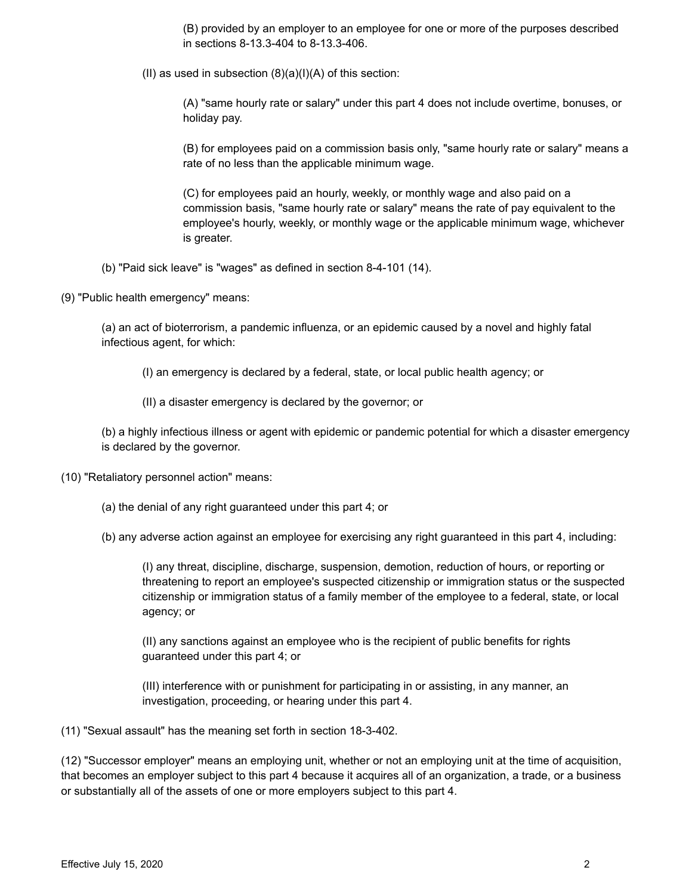(B) provided by an employer to an employee for one or more of the purposes described in sections 8-13.3-404 to 8-13.3-406.

(II) as used in subsection  $(8)(a)(I)(A)$  of this section:

(A) "same hourly rate or salary" under this part 4 does not include overtime, bonuses, or holiday pay.

(B) for employees paid on a commission basis only, "same hourly rate or salary" means a rate of no less than the applicable minimum wage.

(C) for employees paid an hourly, weekly, or monthly wage and also paid on a commission basis, "same hourly rate or salary" means the rate of pay equivalent to the employee's hourly, weekly, or monthly wage or the applicable minimum wage, whichever is greater.

- (b) "Paid sick leave" is "wages" as defined in section 8-4-101 (14).
- (9) "Public health emergency" means:

(a) an act of bioterrorism, a pandemic influenza, or an epidemic caused by a novel and highly fatal infectious agent, for which:

(I) an emergency is declared by a federal, state, or local public health agency; or

(II) a disaster emergency is declared by the governor; or

(b) a highly infectious illness or agent with epidemic or pandemic potential for which a disaster emergency is declared by the governor.

- (10) "Retaliatory personnel action" means:
	- (a) the denial of any right guaranteed under this part 4; or
	- (b) any adverse action against an employee for exercising any right guaranteed in this part 4, including:

(I) any threat, discipline, discharge, suspension, demotion, reduction of hours, or reporting or threatening to report an employee's suspected citizenship or immigration status or the suspected citizenship or immigration status of a family member of the employee to a federal, state, or local agency; or

(II) any sanctions against an employee who is the recipient of public benefits for rights guaranteed under this part 4; or

(III) interference with or punishment for participating in or assisting, in any manner, an investigation, proceeding, or hearing under this part 4.

(11) "Sexual assault" has the meaning set forth in section 18-3-402.

(12) "Successor employer" means an employing unit, whether or not an employing unit at the time of acquisition, that becomes an employer subject to this part 4 because it acquires all of an organization, a trade, or a business or substantially all of the assets of one or more employers subject to this part 4.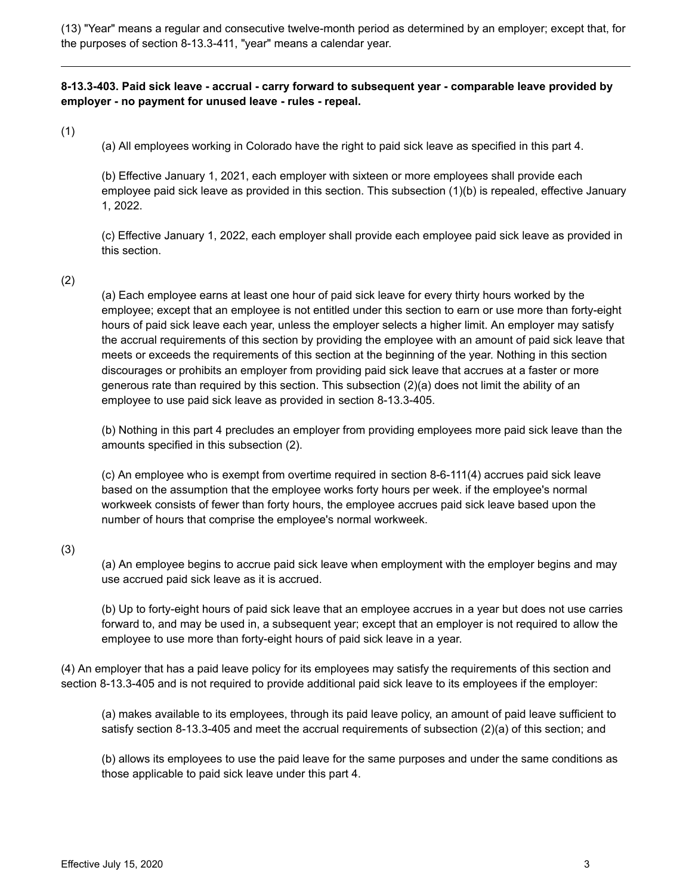(13) "Year" means a regular and consecutive twelve-month period as determined by an employer; except that, for the purposes of section 8-13.3-411, "year" means a calendar year.

**8-13.3-403. Paid sick leave - accrual - carry forward to subsequent year - comparable leave provided by employer - no payment for unused leave - rules - repeal.**

(1)

(a) All employees working in Colorado have the right to paid sick leave as specified in this part 4.

(b) Effective January 1, 2021, each employer with sixteen or more employees shall provide each employee paid sick leave as provided in this section. This subsection (1)(b) is repealed, effective January 1, 2022.

(c) Effective January 1, 2022, each employer shall provide each employee paid sick leave as provided in this section.

#### (2)

(a) Each employee earns at least one hour of paid sick leave for every thirty hours worked by the employee; except that an employee is not entitled under this section to earn or use more than forty-eight hours of paid sick leave each year, unless the employer selects a higher limit. An employer may satisfy the accrual requirements of this section by providing the employee with an amount of paid sick leave that meets or exceeds the requirements of this section at the beginning of the year. Nothing in this section discourages or prohibits an employer from providing paid sick leave that accrues at a faster or more generous rate than required by this section. This subsection (2)(a) does not limit the ability of an employee to use paid sick leave as provided in section 8-13.3-405.

(b) Nothing in this part 4 precludes an employer from providing employees more paid sick leave than the amounts specified in this subsection (2).

(c) An employee who is exempt from overtime required in section 8-6-111(4) accrues paid sick leave based on the assumption that the employee works forty hours per week. if the employee's normal workweek consists of fewer than forty hours, the employee accrues paid sick leave based upon the number of hours that comprise the employee's normal workweek.

#### (3)

(a) An employee begins to accrue paid sick leave when employment with the employer begins and may use accrued paid sick leave as it is accrued.

(b) Up to forty-eight hours of paid sick leave that an employee accrues in a year but does not use carries forward to, and may be used in, a subsequent year; except that an employer is not required to allow the employee to use more than forty-eight hours of paid sick leave in a year.

(4) An employer that has a paid leave policy for its employees may satisfy the requirements of this section and section 8-13.3-405 and is not required to provide additional paid sick leave to its employees if the employer:

(a) makes available to its employees, through its paid leave policy, an amount of paid leave sufficient to satisfy section 8-13.3-405 and meet the accrual requirements of subsection (2)(a) of this section; and

(b) allows its employees to use the paid leave for the same purposes and under the same conditions as those applicable to paid sick leave under this part 4.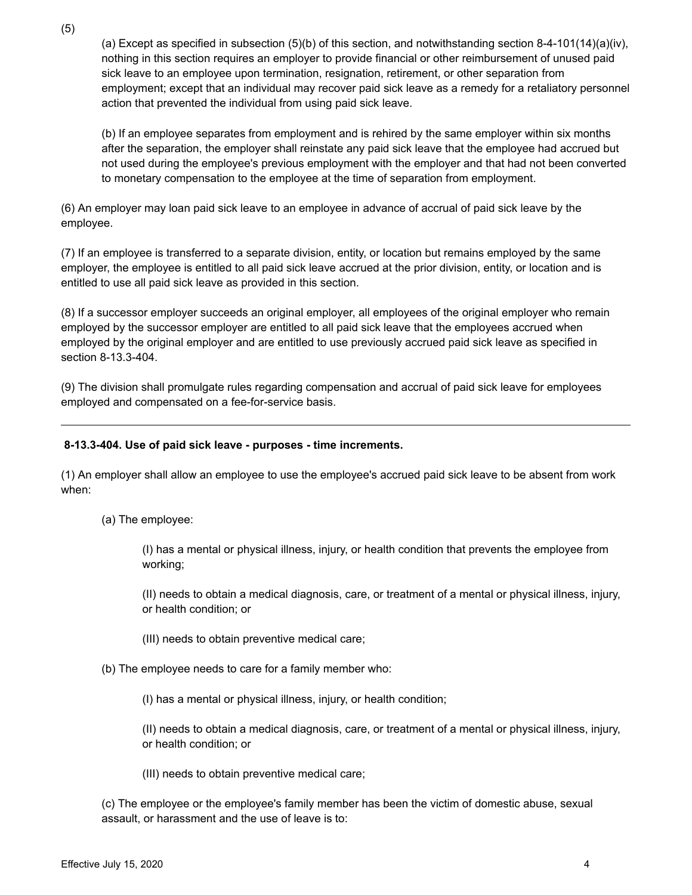(a) Except as specified in subsection  $(5)(b)$  of this section, and notwithstanding section 8-4-101(14)(a)(iv), nothing in this section requires an employer to provide financial or other reimbursement of unused paid sick leave to an employee upon termination, resignation, retirement, or other separation from employment; except that an individual may recover paid sick leave as a remedy for a retaliatory personnel action that prevented the individual from using paid sick leave.

(b) If an employee separates from employment and is rehired by the same employer within six months after the separation, the employer shall reinstate any paid sick leave that the employee had accrued but not used during the employee's previous employment with the employer and that had not been converted to monetary compensation to the employee at the time of separation from employment.

(6) An employer may loan paid sick leave to an employee in advance of accrual of paid sick leave by the employee.

(7) If an employee is transferred to a separate division, entity, or location but remains employed by the same employer, the employee is entitled to all paid sick leave accrued at the prior division, entity, or location and is entitled to use all paid sick leave as provided in this section.

(8) If a successor employer succeeds an original employer, all employees of the original employer who remain employed by the successor employer are entitled to all paid sick leave that the employees accrued when employed by the original employer and are entitled to use previously accrued paid sick leave as specified in section 8-13.3-404.

(9) The division shall promulgate rules regarding compensation and accrual of paid sick leave for employees employed and compensated on a fee-for-service basis.

#### **8-13.3-404. Use of paid sick leave - purposes - time increments.**

(1) An employer shall allow an employee to use the employee's accrued paid sick leave to be absent from work when:

(a) The employee:

(I) has a mental or physical illness, injury, or health condition that prevents the employee from working;

(II) needs to obtain a medical diagnosis, care, or treatment of a mental or physical illness, injury, or health condition; or

- (III) needs to obtain preventive medical care;
- (b) The employee needs to care for a family member who:
	- (I) has a mental or physical illness, injury, or health condition;

(II) needs to obtain a medical diagnosis, care, or treatment of a mental or physical illness, injury, or health condition; or

(III) needs to obtain preventive medical care;

(c) The employee or the employee's family member has been the victim of domestic abuse, sexual assault, or harassment and the use of leave is to: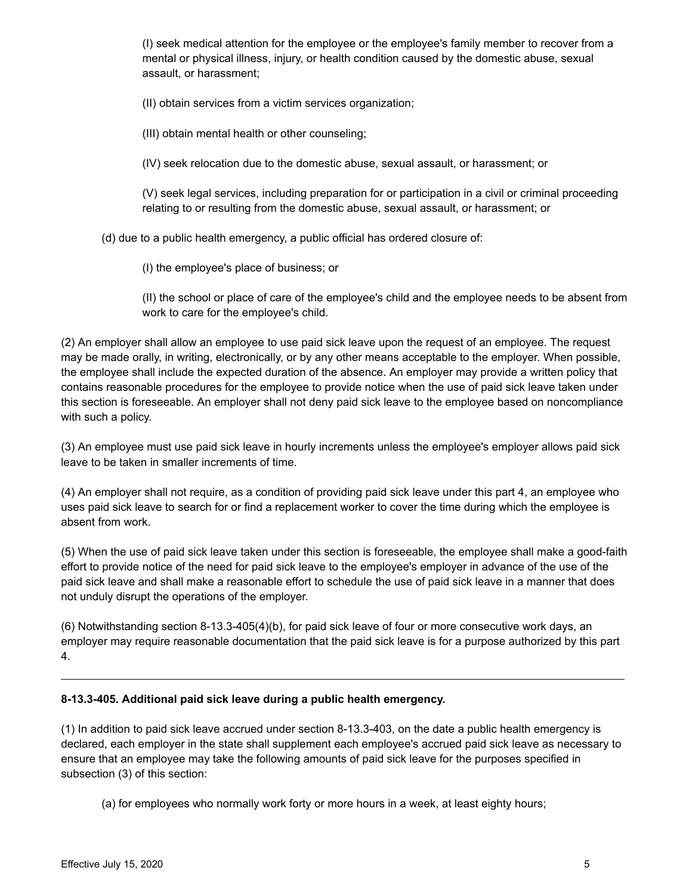(I) seek medical attention for the employee or the employee's family member to recover from a mental or physical illness, injury, or health condition caused by the domestic abuse, sexual assault, or harassment;

(II) obtain services from a victim services organization;

(III) obtain mental health or other counseling;

(IV) seek relocation due to the domestic abuse, sexual assault, or harassment; or

(V) seek legal services, including preparation for or participation in a civil or criminal proceeding relating to or resulting from the domestic abuse, sexual assault, or harassment; or

(d) due to a public health emergency, a public official has ordered closure of:

(I) the employee's place of business; or

(II) the school or place of care of the employee's child and the employee needs to be absent from work to care for the employee's child.

(2) An employer shall allow an employee to use paid sick leave upon the request of an employee. The request may be made orally, in writing, electronically, or by any other means acceptable to the employer. When possible, the employee shall include the expected duration of the absence. An employer may provide a written policy that contains reasonable procedures for the employee to provide notice when the use of paid sick leave taken under this section is foreseeable. An employer shall not deny paid sick leave to the employee based on noncompliance with such a policy.

(3) An employee must use paid sick leave in hourly increments unless the employee's employer allows paid sick leave to be taken in smaller increments of time.

(4) An employer shall not require, as a condition of providing paid sick leave under this part 4, an employee who uses paid sick leave to search for or find a replacement worker to cover the time during which the employee is absent from work.

(5) When the use of paid sick leave taken under this section is foreseeable, the employee shall make a good-faith effort to provide notice of the need for paid sick leave to the employee's employer in advance of the use of the paid sick leave and shall make a reasonable effort to schedule the use of paid sick leave in a manner that does not unduly disrupt the operations of the employer.

(6) Notwithstanding section 8-13.3-405(4)(b), for paid sick leave of four or more consecutive work days, an employer may require reasonable documentation that the paid sick leave is for a purpose authorized by this part 4.

## **8-13.3-405. Additional paid sick leave during a public health emergency.**

(1) In addition to paid sick leave accrued under section 8-13.3-403, on the date a public health emergency is declared, each employer in the state shall supplement each employee's accrued paid sick leave as necessary to ensure that an employee may take the following amounts of paid sick leave for the purposes specified in subsection (3) of this section:

(a) for employees who normally work forty or more hours in a week, at least eighty hours;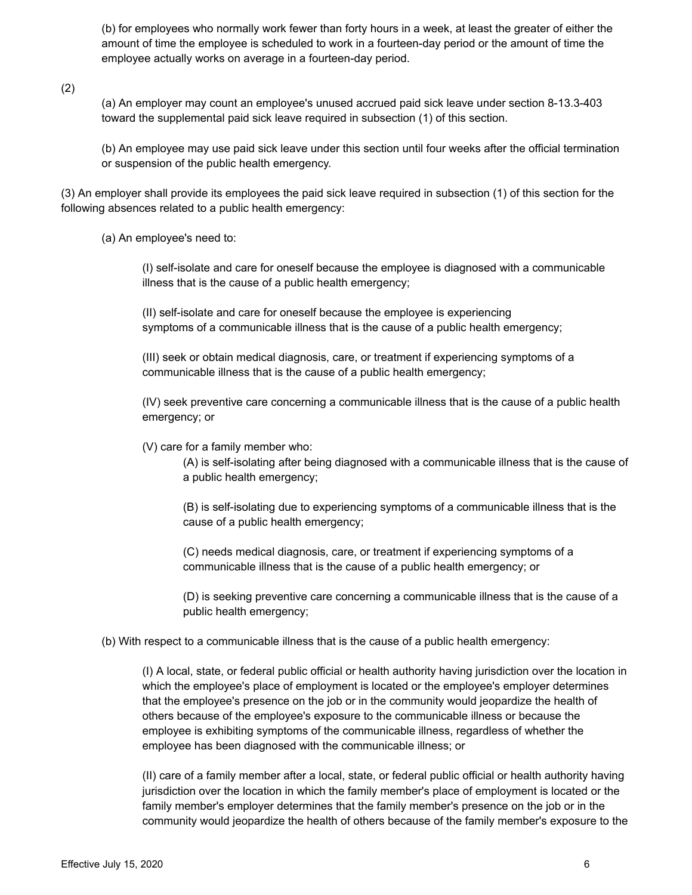(b) for employees who normally work fewer than forty hours in a week, at least the greater of either the amount of time the employee is scheduled to work in a fourteen-day period or the amount of time the employee actually works on average in a fourteen-day period.

(2)

(a) An employer may count an employee's unused accrued paid sick leave under section 8-13.3-403 toward the supplemental paid sick leave required in subsection (1) of this section.

(b) An employee may use paid sick leave under this section until four weeks after the official termination or suspension of the public health emergency.

(3) An employer shall provide its employees the paid sick leave required in subsection (1) of this section for the following absences related to a public health emergency:

(a) An employee's need to:

(I) self-isolate and care for oneself because the employee is diagnosed with a communicable illness that is the cause of a public health emergency;

(II) self-isolate and care for oneself because the employee is experiencing symptoms of a communicable illness that is the cause of a public health emergency;

(III) seek or obtain medical diagnosis, care, or treatment if experiencing symptoms of a communicable illness that is the cause of a public health emergency;

(IV) seek preventive care concerning a communicable illness that is the cause of a public health emergency; or

(V) care for a family member who:

(A) is self-isolating after being diagnosed with a communicable illness that is the cause of a public health emergency;

(B) is self-isolating due to experiencing symptoms of a communicable illness that is the cause of a public health emergency;

(C) needs medical diagnosis, care, or treatment if experiencing symptoms of a communicable illness that is the cause of a public health emergency; or

(D) is seeking preventive care concerning a communicable illness that is the cause of a public health emergency;

(b) With respect to a communicable illness that is the cause of a public health emergency:

(I) A local, state, or federal public official or health authority having jurisdiction over the location in which the employee's place of employment is located or the employee's employer determines that the employee's presence on the job or in the community would jeopardize the health of others because of the employee's exposure to the communicable illness or because the employee is exhibiting symptoms of the communicable illness, regardless of whether the employee has been diagnosed with the communicable illness; or

(II) care of a family member after a local, state, or federal public official or health authority having jurisdiction over the location in which the family member's place of employment is located or the family member's employer determines that the family member's presence on the job or in the community would jeopardize the health of others because of the family member's exposure to the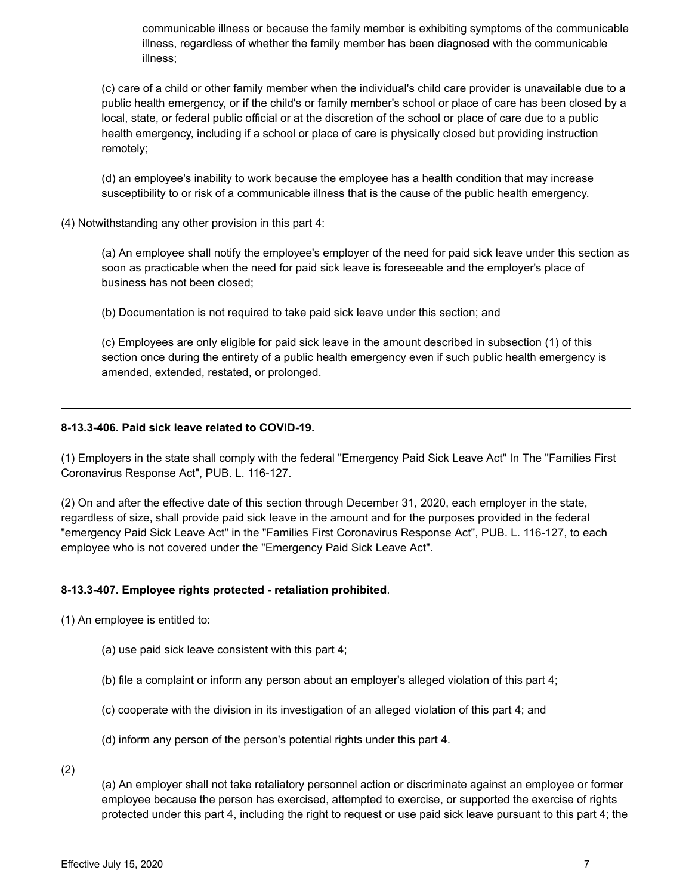communicable illness or because the family member is exhibiting symptoms of the communicable illness, regardless of whether the family member has been diagnosed with the communicable illness;

(c) care of a child or other family member when the individual's child care provider is unavailable due to a public health emergency, or if the child's or family member's school or place of care has been closed by a local, state, or federal public official or at the discretion of the school or place of care due to a public health emergency, including if a school or place of care is physically closed but providing instruction remotely;

(d) an employee's inability to work because the employee has a health condition that may increase susceptibility to or risk of a communicable illness that is the cause of the public health emergency.

(4) Notwithstanding any other provision in this part 4:

(a) An employee shall notify the employee's employer of the need for paid sick leave under this section as soon as practicable when the need for paid sick leave is foreseeable and the employer's place of business has not been closed;

(b) Documentation is not required to take paid sick leave under this section; and

(c) Employees are only eligible for paid sick leave in the amount described in subsection (1) of this section once during the entirety of a public health emergency even if such public health emergency is amended, extended, restated, or prolonged.

## **8-13.3-406. Paid sick leave related to COVID-19.**

(1) Employers in the state shall comply with the federal "Emergency Paid Sick Leave Act" In The "Families First Coronavirus Response Act", PUB. L. 116-127.

(2) On and after the effective date of this section through December 31, 2020, each employer in the state, regardless of size, shall provide paid sick leave in the amount and for the purposes provided in the federal "emergency Paid Sick Leave Act" in the "Families First Coronavirus Response Act", PUB. L. 116-127, to each employee who is not covered under the "Emergency Paid Sick Leave Act".

## **8-13.3-407. Employee rights protected - retaliation prohibited**.

(1) An employee is entitled to:

- (a) use paid sick leave consistent with this part 4;
- (b) file a complaint or inform any person about an employer's alleged violation of this part 4;
- (c) cooperate with the division in its investigation of an alleged violation of this part 4; and
- (d) inform any person of the person's potential rights under this part 4.

(2)

(a) An employer shall not take retaliatory personnel action or discriminate against an employee or former employee because the person has exercised, attempted to exercise, or supported the exercise of rights protected under this part 4, including the right to request or use paid sick leave pursuant to this part 4; the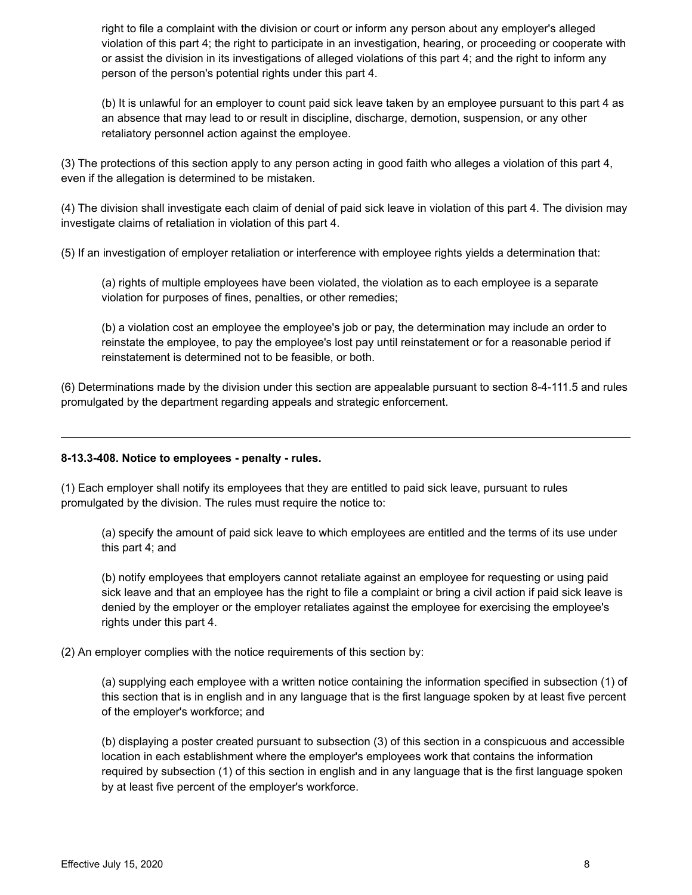right to file a complaint with the division or court or inform any person about any employer's alleged violation of this part 4; the right to participate in an investigation, hearing, or proceeding or cooperate with or assist the division in its investigations of alleged violations of this part 4; and the right to inform any person of the person's potential rights under this part 4.

(b) It is unlawful for an employer to count paid sick leave taken by an employee pursuant to this part 4 as an absence that may lead to or result in discipline, discharge, demotion, suspension, or any other retaliatory personnel action against the employee.

(3) The protections of this section apply to any person acting in good faith who alleges a violation of this part 4, even if the allegation is determined to be mistaken.

(4) The division shall investigate each claim of denial of paid sick leave in violation of this part 4. The division may investigate claims of retaliation in violation of this part 4.

(5) If an investigation of employer retaliation or interference with employee rights yields a determination that:

(a) rights of multiple employees have been violated, the violation as to each employee is a separate violation for purposes of fines, penalties, or other remedies;

(b) a violation cost an employee the employee's job or pay, the determination may include an order to reinstate the employee, to pay the employee's lost pay until reinstatement or for a reasonable period if reinstatement is determined not to be feasible, or both.

(6) Determinations made by the division under this section are appealable pursuant to section 8-4-111.5 and rules promulgated by the department regarding appeals and strategic enforcement.

## **8-13.3-408. Notice to employees - penalty - rules.**

(1) Each employer shall notify its employees that they are entitled to paid sick leave, pursuant to rules promulgated by the division. The rules must require the notice to:

(a) specify the amount of paid sick leave to which employees are entitled and the terms of its use under this part 4; and

(b) notify employees that employers cannot retaliate against an employee for requesting or using paid sick leave and that an employee has the right to file a complaint or bring a civil action if paid sick leave is denied by the employer or the employer retaliates against the employee for exercising the employee's rights under this part 4.

## (2) An employer complies with the notice requirements of this section by:

(a) supplying each employee with a written notice containing the information specified in subsection (1) of this section that is in english and in any language that is the first language spoken by at least five percent of the employer's workforce; and

(b) displaying a poster created pursuant to subsection (3) of this section in a conspicuous and accessible location in each establishment where the employer's employees work that contains the information required by subsection (1) of this section in english and in any language that is the first language spoken by at least five percent of the employer's workforce.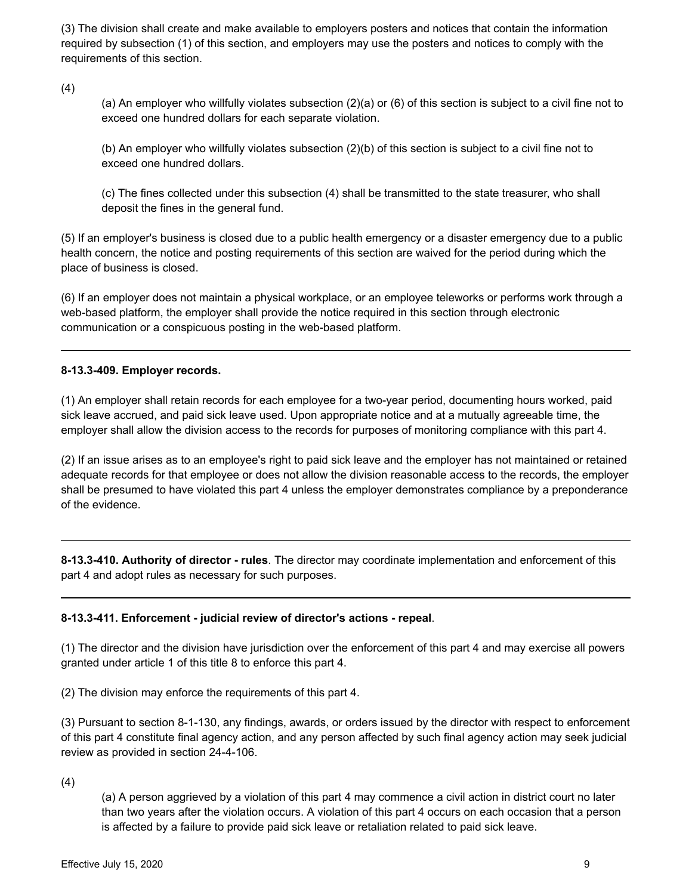(3) The division shall create and make available to employers posters and notices that contain the information required by subsection (1) of this section, and employers may use the posters and notices to comply with the requirements of this section.

(4)

(a) An employer who willfully violates subsection (2)(a) or (6) of this section is subject to a civil fine not to exceed one hundred dollars for each separate violation.

(b) An employer who willfully violates subsection (2)(b) of this section is subject to a civil fine not to exceed one hundred dollars.

(c) The fines collected under this subsection (4) shall be transmitted to the state treasurer, who shall deposit the fines in the general fund.

(5) If an employer's business is closed due to a public health emergency or a disaster emergency due to a public health concern, the notice and posting requirements of this section are waived for the period during which the place of business is closed.

(6) If an employer does not maintain a physical workplace, or an employee teleworks or performs work through a web-based platform, the employer shall provide the notice required in this section through electronic communication or a conspicuous posting in the web-based platform.

## **8-13.3-409. Employer records.**

(1) An employer shall retain records for each employee for a two-year period, documenting hours worked, paid sick leave accrued, and paid sick leave used. Upon appropriate notice and at a mutually agreeable time, the employer shall allow the division access to the records for purposes of monitoring compliance with this part 4.

(2) If an issue arises as to an employee's right to paid sick leave and the employer has not maintained or retained adequate records for that employee or does not allow the division reasonable access to the records, the employer shall be presumed to have violated this part 4 unless the employer demonstrates compliance by a preponderance of the evidence.

**8-13.3-410. Authority of director - rules**. The director may coordinate implementation and enforcement of this part 4 and adopt rules as necessary for such purposes.

## **8-13.3-411. Enforcement - judicial review of director's actions - repeal**.

(1) The director and the division have jurisdiction over the enforcement of this part 4 and may exercise all powers granted under article 1 of this title 8 to enforce this part 4.

(2) The division may enforce the requirements of this part 4.

(3) Pursuant to section 8-1-130, any findings, awards, or orders issued by the director with respect to enforcement of this part 4 constitute final agency action, and any person affected by such final agency action may seek judicial review as provided in section 24-4-106.

(4)

(a) A person aggrieved by a violation of this part 4 may commence a civil action in district court no later than two years after the violation occurs. A violation of this part 4 occurs on each occasion that a person is affected by a failure to provide paid sick leave or retaliation related to paid sick leave.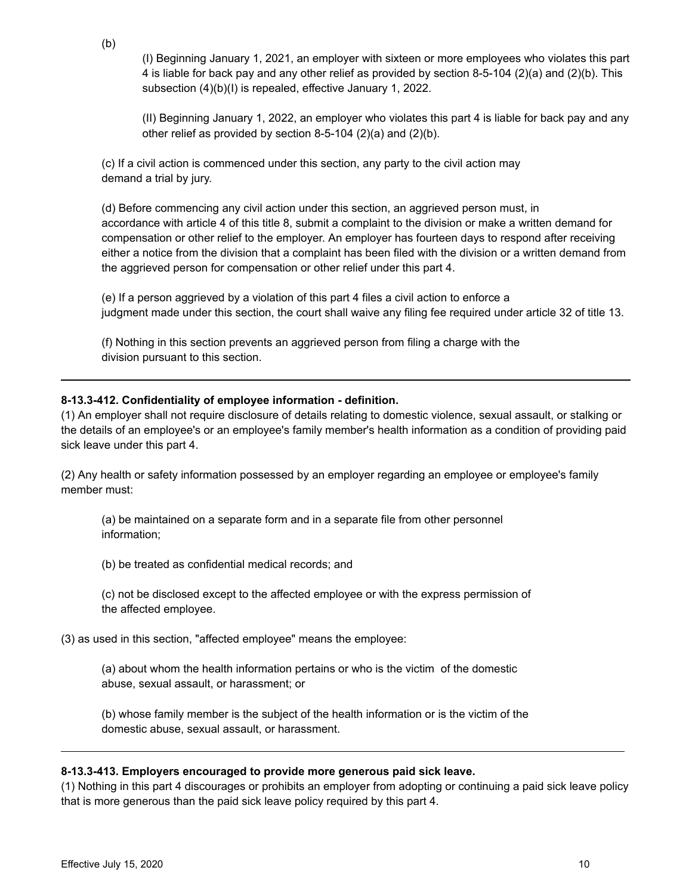(I) Beginning January 1, 2021, an employer with sixteen or more employees who violates this part 4 is liable for back pay and any other relief as provided by section 8-5-104 (2)(a) and (2)(b). This subsection (4)(b)(I) is repealed, effective January 1, 2022.

(II) Beginning January 1, 2022, an employer who violates this part 4 is liable for back pay and any other relief as provided by section 8-5-104 (2)(a) and (2)(b).

(c) If a civil action is commenced under this section, any party to the civil action may demand a trial by jury.

(d) Before commencing any civil action under this section, an aggrieved person must, in accordance with article 4 of this title 8, submit a complaint to the division or make a written demand for compensation or other relief to the employer. An employer has fourteen days to respond after receiving either a notice from the division that a complaint has been filed with the division or a written demand from the aggrieved person for compensation or other relief under this part 4.

(e) If a person aggrieved by a violation of this part 4 files a civil action to enforce a judgment made under this section, the court shall waive any filing fee required under article 32 of title 13.

(f) Nothing in this section prevents an aggrieved person from filing a charge with the division pursuant to this section.

#### **8-13.3-412. Confidentiality of employee information - definition.**

(1) An employer shall not require disclosure of details relating to domestic violence, sexual assault, or stalking or the details of an employee's or an employee's family member's health information as a condition of providing paid sick leave under this part 4.

(2) Any health or safety information possessed by an employer regarding an employee or employee's family member must:

(a) be maintained on a separate form and in a separate file from other personnel information;

(b) be treated as confidential medical records; and

(c) not be disclosed except to the affected employee or with the express permission of the affected employee.

(3) as used in this section, "affected employee" means the employee:

(a) about whom the health information pertains or who is the victim of the domestic abuse, sexual assault, or harassment; or

(b) whose family member is the subject of the health information or is the victim of the domestic abuse, sexual assault, or harassment.

#### **8-13.3-413. Employers encouraged to provide more generous paid sick leave.**

(1) Nothing in this part 4 discourages or prohibits an employer from adopting or continuing a paid sick leave policy that is more generous than the paid sick leave policy required by this part 4.

(b)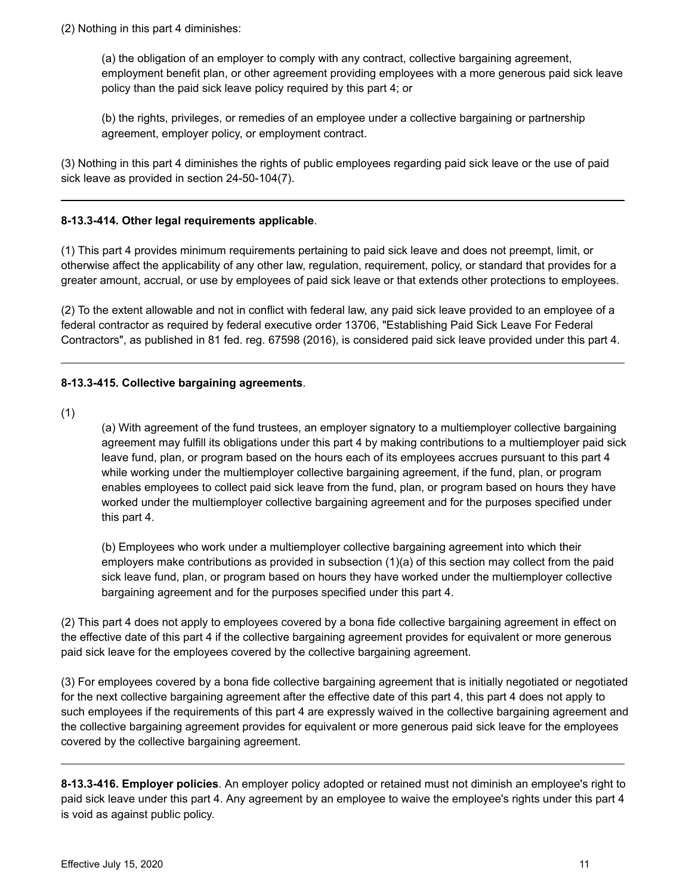(2) Nothing in this part 4 diminishes:

(a) the obligation of an employer to comply with any contract, collective bargaining agreement, employment benefit plan, or other agreement providing employees with a more generous paid sick leave policy than the paid sick leave policy required by this part 4; or

(b) the rights, privileges, or remedies of an employee under a collective bargaining or partnership agreement, employer policy, or employment contract.

(3) Nothing in this part 4 diminishes the rights of public employees regarding paid sick leave or the use of paid sick leave as provided in section 24-50-104(7).

## **8-13.3-414. Other legal requirements applicable**.

(1) This part 4 provides minimum requirements pertaining to paid sick leave and does not preempt, limit, or otherwise affect the applicability of any other law, regulation, requirement, policy, or standard that provides for a greater amount, accrual, or use by employees of paid sick leave or that extends other protections to employees.

(2) To the extent allowable and not in conflict with federal law, any paid sick leave provided to an employee of a federal contractor as required by federal executive order 13706, "Establishing Paid Sick Leave For Federal Contractors", as published in 81 fed. reg. 67598 (2016), is considered paid sick leave provided under this part 4.

## **8-13.3-415. Collective bargaining agreements**.

(1)

(a) With agreement of the fund trustees, an employer signatory to a multiemployer collective bargaining agreement may fulfill its obligations under this part 4 by making contributions to a multiemployer paid sick leave fund, plan, or program based on the hours each of its employees accrues pursuant to this part 4 while working under the multiemployer collective bargaining agreement, if the fund, plan, or program enables employees to collect paid sick leave from the fund, plan, or program based on hours they have worked under the multiemployer collective bargaining agreement and for the purposes specified under this part 4.

(b) Employees who work under a multiemployer collective bargaining agreement into which their employers make contributions as provided in subsection (1)(a) of this section may collect from the paid sick leave fund, plan, or program based on hours they have worked under the multiemployer collective bargaining agreement and for the purposes specified under this part 4.

(2) This part 4 does not apply to employees covered by a bona fide collective bargaining agreement in effect on the effective date of this part 4 if the collective bargaining agreement provides for equivalent or more generous paid sick leave for the employees covered by the collective bargaining agreement.

(3) For employees covered by a bona fide collective bargaining agreement that is initially negotiated or negotiated for the next collective bargaining agreement after the effective date of this part 4, this part 4 does not apply to such employees if the requirements of this part 4 are expressly waived in the collective bargaining agreement and the collective bargaining agreement provides for equivalent or more generous paid sick leave for the employees covered by the collective bargaining agreement.

**8-13.3-416. Employer policies**. An employer policy adopted or retained must not diminish an employee's right to paid sick leave under this part 4. Any agreement by an employee to waive the employee's rights under this part 4 is void as against public policy.